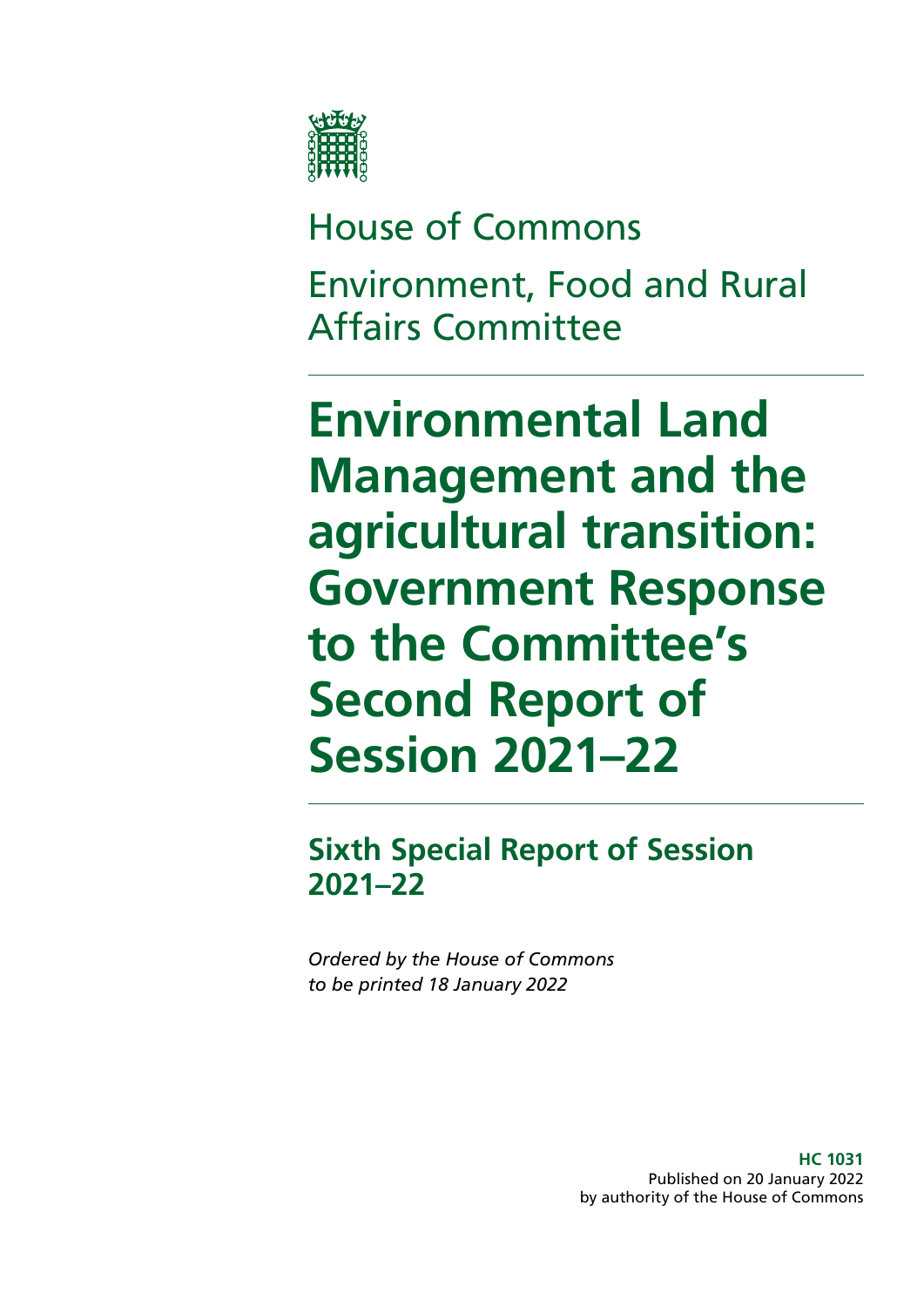

# House of Commons Environment, Food and Rural Affairs Committee

**Environmental Land Management and the agricultural transition: Government Response to the Committee's Second Report of Session 2021–22**

**Sixth Special Report of Session 2021–22**

*Ordered by the House of Commons to be printed 18 January 2022*

> **HC 1031** Published on 20 January 2022 by authority of the House of Commons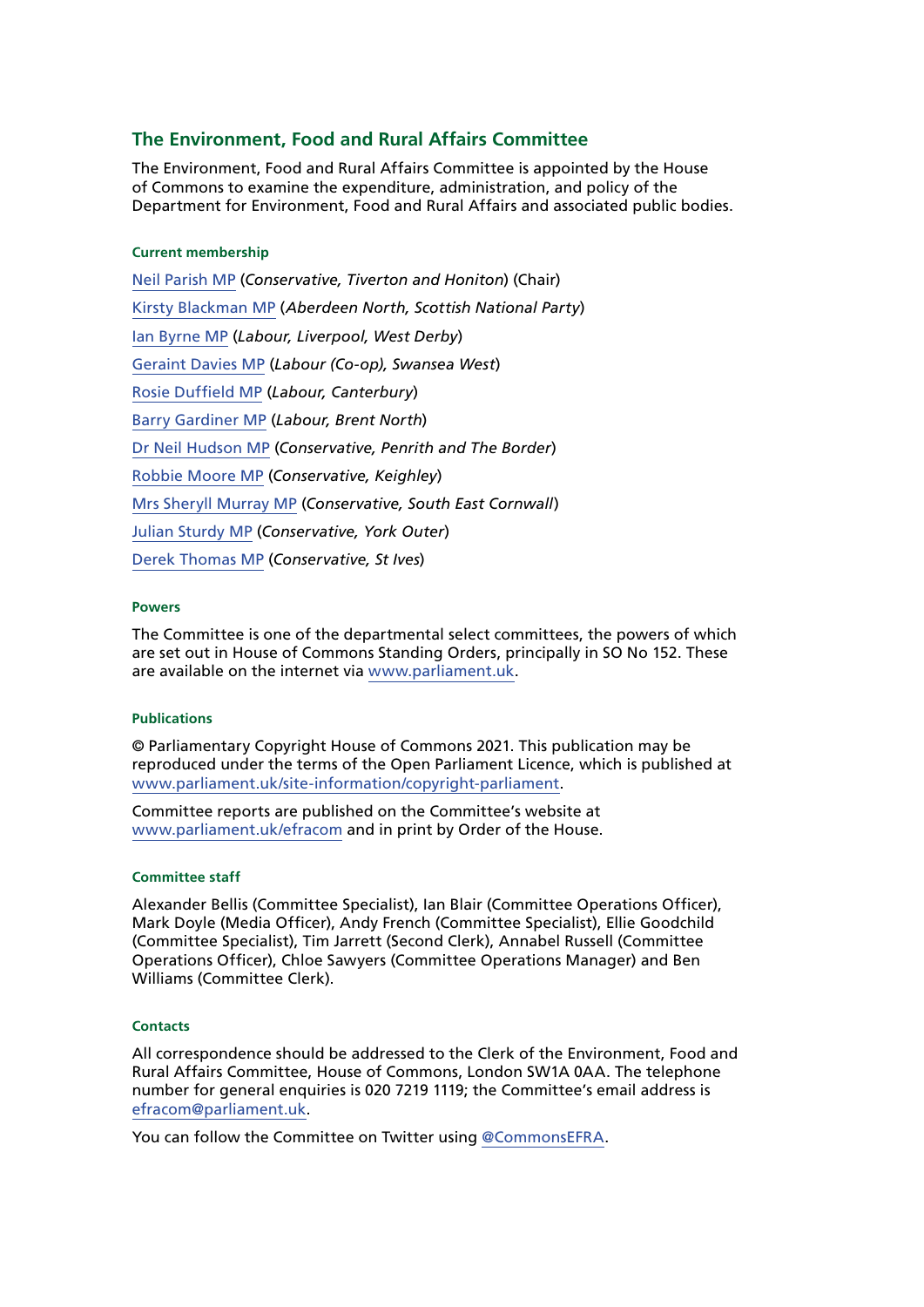#### **The Environment, Food and Rural Affairs Committee**

The Environment, Food and Rural Affairs Committee is appointed by the House of Commons to examine the expenditure, administration, and policy of the Department for Environment, Food and Rural Affairs and associated public bodies.

#### **Current membership**

[Neil Parish MP](https://members.parliament.uk/member/4072/contact) (*Conservative, Tiverton and Honiton*) (Chair) [Kirsty Blackman MP](https://members.parliament.uk/member/4357/contact) (*Aberdeen North, Scottish National Party*) [Ian Byrne MP](https://members.parliament.uk/member/4831/contact) (*Labour, Liverpool, West Derby*) [Geraint Davies MP](https://members.parliament.uk/member/155/contact) (*Labour (Co-op), Swansea West*) [Rosie Duffield MP](https://members.parliament.uk/member/4616/contact) (*Labour, Canterbury*) [Barry Gardiner MP](https://members.parliament.uk/member/146/contact) (*Labour, Brent North*) [Dr Neil Hudson MP](https://members.parliament.uk/member/4853/contact) (*Conservative, Penrith and The Border*) [Robbie Moore MP](https://members.parliament.uk/member/4861/contact) (*Conservative, Keighley*) [Mrs Sheryll Murray MP](https://members.parliament.uk/member/4100/contact) (*Conservative, South East Cornwall*) [Julian Sturdy MP](https://members.parliament.uk/member/4079/contact) (*Conservative, York Outer*) [Derek Thomas MP](https://members.parliament.uk/member/4532/contact) (*Conservative, St Ives*)

#### **Powers**

The Committee is one of the departmental select committees, the powers of which are set out in House of Commons Standing Orders, principally in SO No 152. These are available on the internet via [www.parliament.uk.](http://www.parliament.uk)

#### **Publications**

© Parliamentary Copyright House of Commons 2021. This publication may be reproduced under the terms of the Open Parliament Licence, which is published at [www.parliament.uk/site-information/copyright-parliament.](https://www.parliament.uk/site-information/copyright-parliament/)

Committee reports are published on the Committee's website at [www.parliament.uk/efracom](http://www.parliament.uk/efracom) and in print by Order of the House.

#### **Committee staff**

Alexander Bellis (Committee Specialist), Ian Blair (Committee Operations Officer), Mark Doyle (Media Officer), Andy French (Committee Specialist), Ellie Goodchild (Committee Specialist), Tim Jarrett (Second Clerk), Annabel Russell (Committee Operations Officer), Chloe Sawyers (Committee Operations Manager) and Ben Williams (Committee Clerk).

#### **Contacts**

All correspondence should be addressed to the Clerk of the Environment, Food and Rural Affairs Committee, House of Commons, London SW1A 0AA. The telephone number for general enquiries is 020 7219 1119; the Committee's email address is [efracom@parliament.uk](mailto:efracom%40parliament.uk?subject=).

You can follow the Committee on Twitter using [@CommonsEFRA.](https://twitter.com/CommonsEFRA?ref_src=twsrc%5Egoogle%7Ctwcamp%5Eserp%7Ctwgr%5Eauthor)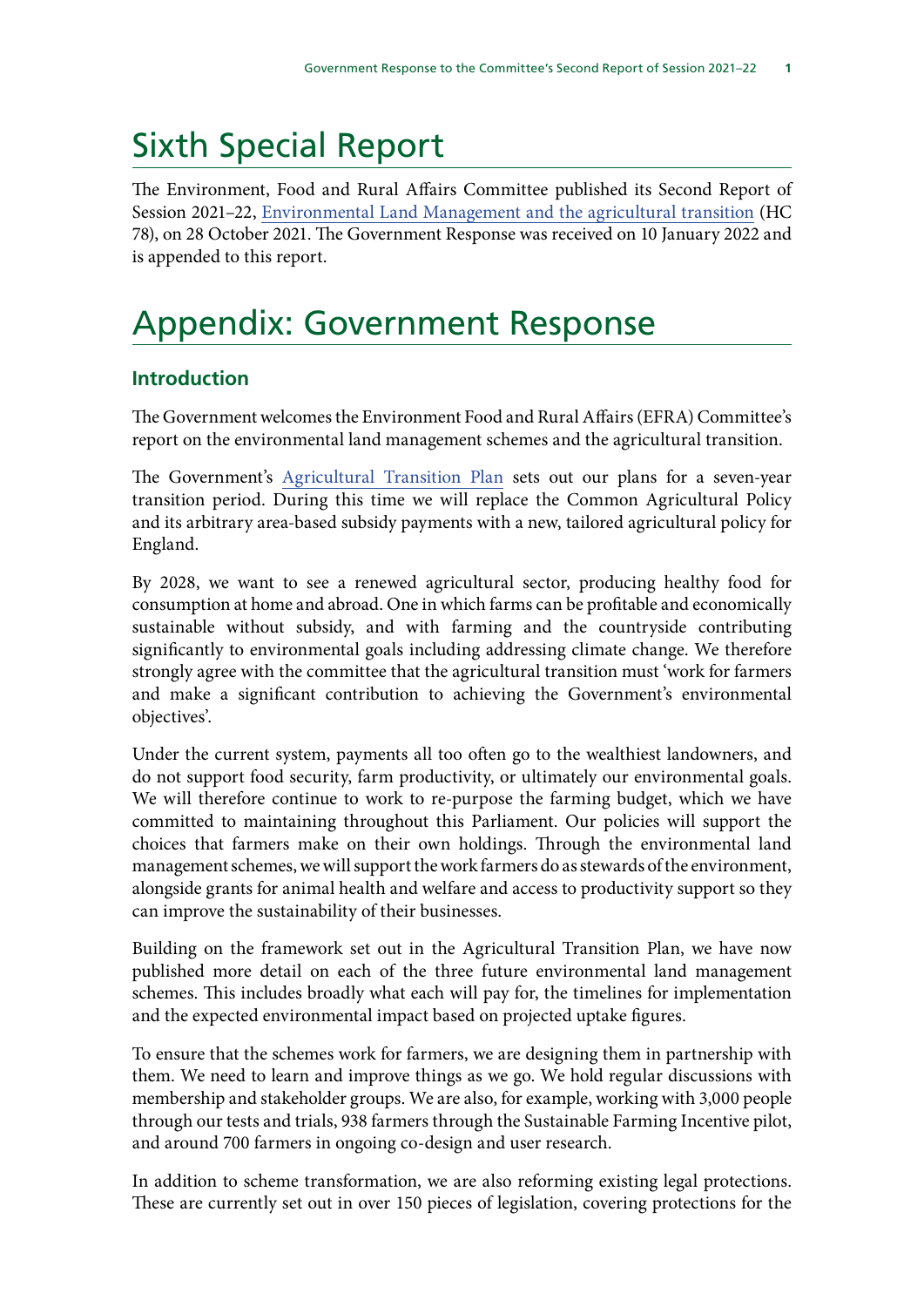## Sixth Special Report

The Environment, Food and Rural Affairs Committee published its Second Report of Session 2021–22, [Environmental Land Management and the agricultural transition](https://publications.parliament.uk/pa/cm5802/cmselect/cmenvfru/78/summary.html) (HC 78), on 28 October 2021. The Government Response was received on 10 January 2022 and is appended to this report.

## Appendix: Government Response

## **Introduction**

The Government welcomes the Environment Food and Rural Affairs (EFRA) Committee's report on the environmental land management schemes and the agricultural transition.

The Government's [Agricultural Transition Plan](https://www.gov.uk/government/publications/agricultural-transition-plan-2021-to-2024) sets out our plans for a seven-year transition period. During this time we will replace the Common Agricultural Policy and its arbitrary area-based subsidy payments with a new, tailored agricultural policy for England.

By 2028, we want to see a renewed agricultural sector, producing healthy food for consumption at home and abroad. One in which farms can be profitable and economically sustainable without subsidy, and with farming and the countryside contributing significantly to environmental goals including addressing climate change. We therefore strongly agree with the committee that the agricultural transition must 'work for farmers and make a significant contribution to achieving the Government's environmental objectives'.

Under the current system, payments all too often go to the wealthiest landowners, and do not support food security, farm productivity, or ultimately our environmental goals. We will therefore continue to work to re-purpose the farming budget, which we have committed to maintaining throughout this Parliament. Our policies will support the choices that farmers make on their own holdings. Through the environmental land management schemes, we will support the work farmers do as stewards of the environment, alongside grants for animal health and welfare and access to productivity support so they can improve the sustainability of their businesses.

Building on the framework set out in the Agricultural Transition Plan, we have now published more detail on each of the three future environmental land management schemes. This includes broadly what each will pay for, the timelines for implementation and the expected environmental impact based on projected uptake figures.

To ensure that the schemes work for farmers, we are designing them in partnership with them. We need to learn and improve things as we go. We hold regular discussions with membership and stakeholder groups. We are also, for example, working with 3,000 people through our tests and trials, 938 farmers through the Sustainable Farming Incentive pilot, and around 700 farmers in ongoing co-design and user research.

In addition to scheme transformation, we are also reforming existing legal protections. These are currently set out in over 150 pieces of legislation, covering protections for the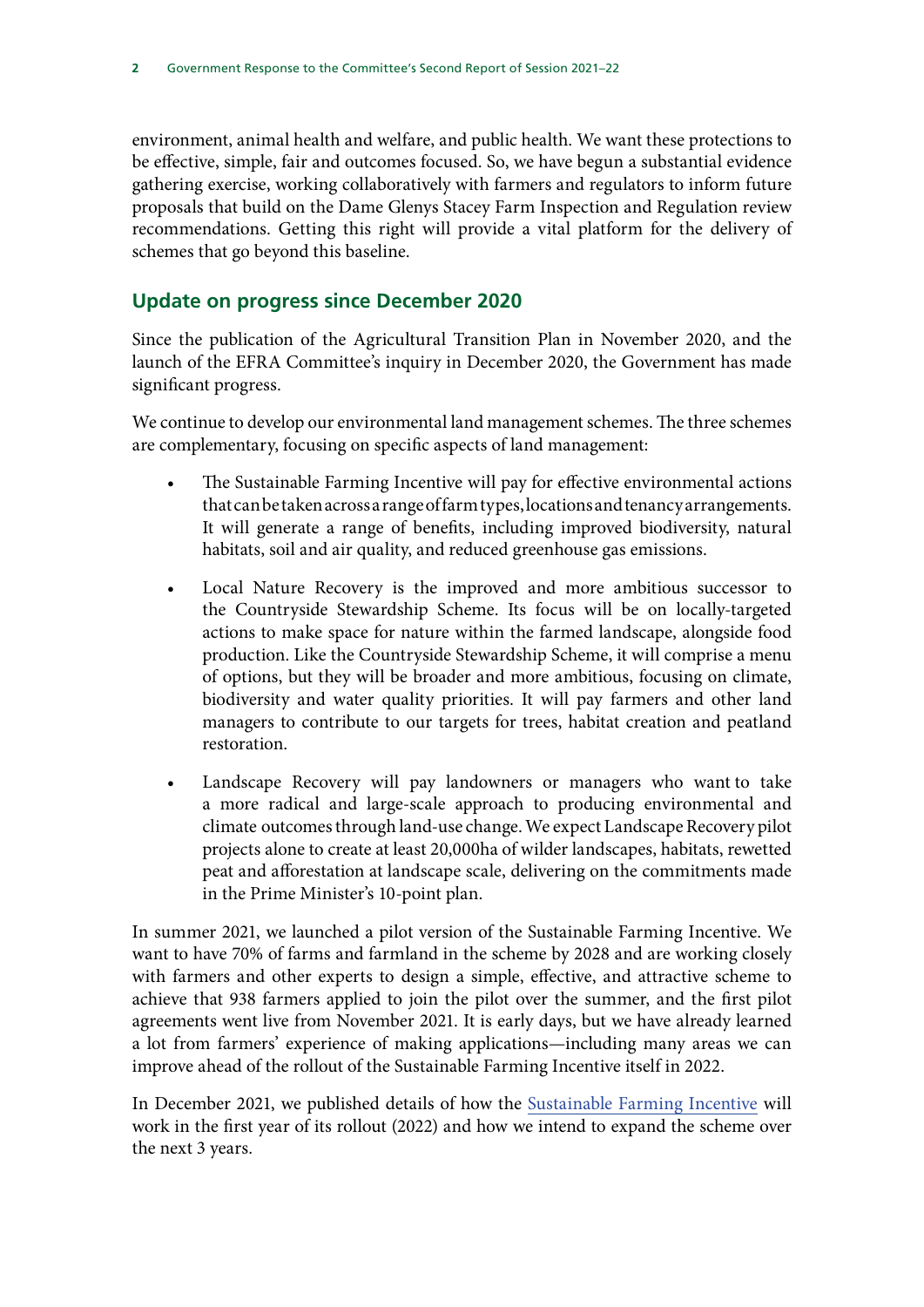environment, animal health and welfare, and public health. We want these protections to be effective, simple, fair and outcomes focused. So, we have begun a substantial evidence gathering exercise, working collaboratively with farmers and regulators to inform future proposals that build on the Dame Glenys Stacey Farm Inspection and Regulation review recommendations. Getting this right will provide a vital platform for the delivery of schemes that go beyond this baseline.

## **Update on progress since December 2020**

Since the publication of the Agricultural Transition Plan in November 2020, and the launch of the EFRA Committee's inquiry in December 2020, the Government has made significant progress.

We continue to develop our environmental land management schemes. The three schemes are complementary, focusing on specific aspects of land management:

- The Sustainable Farming Incentive will pay for effective environmental actions that can be taken across a range of farm types, locations and tenancy arrangements. It will generate a range of benefits, including improved biodiversity, natural habitats, soil and air quality, and reduced greenhouse gas emissions.
- Local Nature Recovery is the improved and more ambitious successor to the Countryside Stewardship Scheme. Its focus will be on locally-targeted actions to make space for nature within the farmed landscape, alongside food production. Like the Countryside Stewardship Scheme, it will comprise a menu of options, but they will be broader and more ambitious, focusing on climate, biodiversity and water quality priorities. It will pay farmers and other land managers to contribute to our targets for trees, habitat creation and peatland restoration.
- Landscape Recovery will pay landowners or managers who want to take a more radical and large-scale approach to producing environmental and climate outcomes through land-use change. We expect Landscape Recovery pilot projects alone to create at least 20,000ha of wilder landscapes, habitats, rewetted peat and afforestation at landscape scale, delivering on the commitments made in the Prime Minister's 10-point plan.

In summer 2021, we launched a pilot version of the Sustainable Farming Incentive. We want to have 70% of farms and farmland in the scheme by 2028 and are working closely with farmers and other experts to design a simple, effective, and attractive scheme to achieve that 938 farmers applied to join the pilot over the summer, and the first pilot agreements went live from November 2021. It is early days, but we have already learned a lot from farmers' experience of making applications—including many areas we can improve ahead of the rollout of the Sustainable Farming Incentive itself in 2022.

In December 2021, we published details of how the [Sustainable Farming Incentive](https://www.gov.uk/government/publications/sustainable-farming-incentive-how-the-scheme-will-work-in-2022/sustainable-farming-incentive-how-the-scheme-will-work-in-2022) will work in the first year of its rollout (2022) and how we intend to expand the scheme over the next 3 years.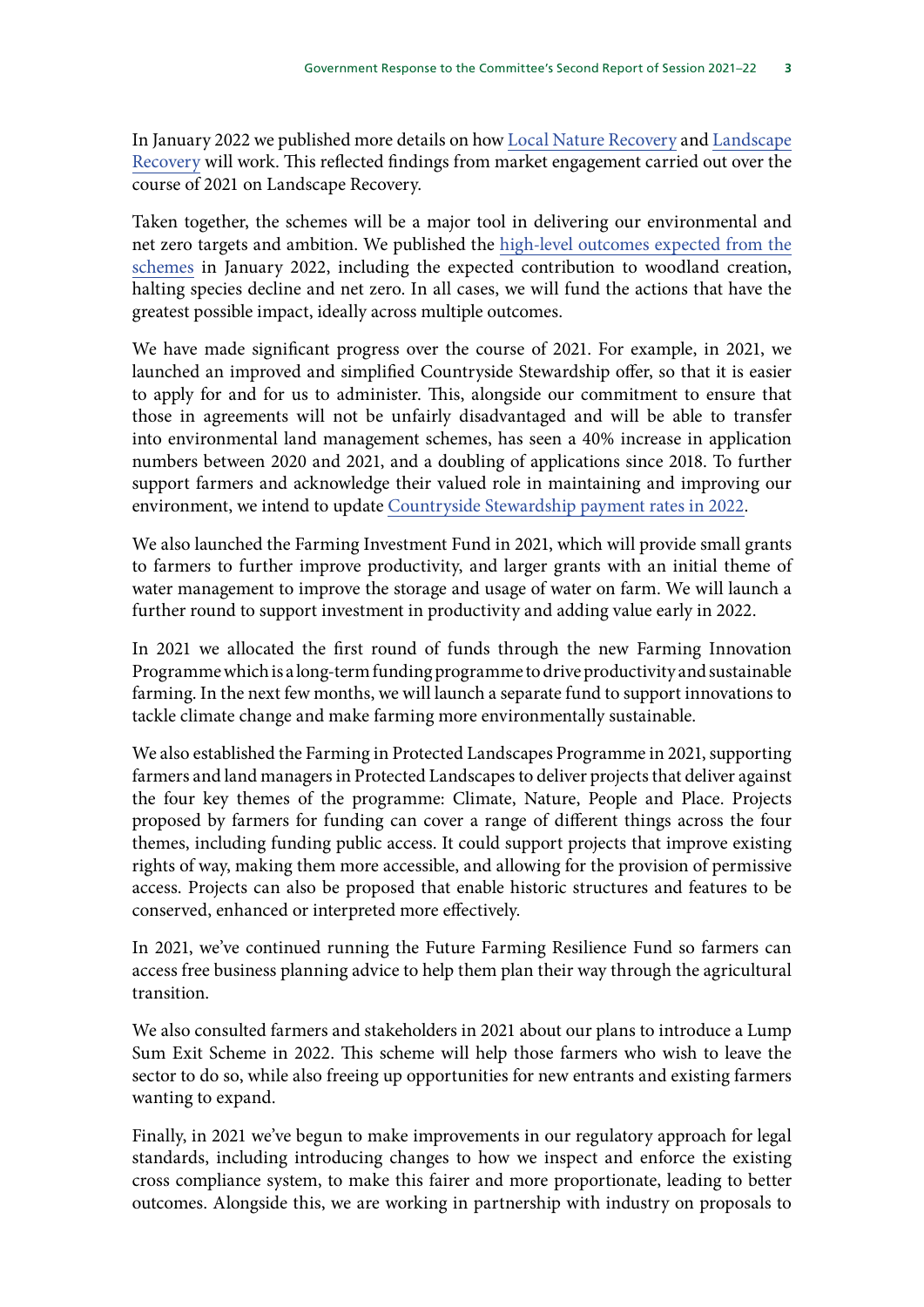In January 2022 we published more details on how [Local Nature Recovery](https://www.gov.uk/government/publications/local-nature-recovery-more-information-on-how-the-scheme-will-work) and [Landscape](https://www.gov.uk/government/publications/landscape-recovery-more-information-on-how-the-scheme-will-work) [Recovery](https://www.gov.uk/government/publications/landscape-recovery-more-information-on-how-the-scheme-will-work) will work. This reflected findings from market engagement carried out over the course of 2021 on Landscape Recovery.

Taken together, the schemes will be a major tool in delivering our environmental and net zero targets and ambition. We published the [high-level outcomes expected from the](https://www.gov.uk/government/publications/environmental-land-management-schemes-outcomes/environmental-land-management-schemes-outcomes) [schemes](https://www.gov.uk/government/publications/environmental-land-management-schemes-outcomes/environmental-land-management-schemes-outcomes) in January 2022, including the expected contribution to woodland creation, halting species decline and net zero. In all cases, we will fund the actions that have the greatest possible impact, ideally across multiple outcomes.

We have made significant progress over the course of 2021. For example, in 2021, we launched an improved and simplified Countryside Stewardship offer, so that it is easier to apply for and for us to administer. This, alongside our commitment to ensure that those in agreements will not be unfairly disadvantaged and will be able to transfer into environmental land management schemes, has seen a 40% increase in application numbers between 2020 and 2021, and a doubling of applications since 2018. To further support farmers and acknowledge their valued role in maintaining and improving our environment, we intend to update [Countryside Stewardship payment rates in 2022.](https://www.gov.uk/government/publications/countryside-stewardship-revenue-payment-rates-from-1-january-2022)

We also launched the Farming Investment Fund in 2021, which will provide small grants to farmers to further improve productivity, and larger grants with an initial theme of water management to improve the storage and usage of water on farm. We will launch a further round to support investment in productivity and adding value early in 2022.

In 2021 we allocated the first round of funds through the new Farming Innovation Programme which is a long-term funding programme to drive productivity and sustainable farming. In the next few months, we will launch a separate fund to support innovations to tackle climate change and make farming more environmentally sustainable.

We also established the Farming in Protected Landscapes Programme in 2021, supporting farmers and land managers in Protected Landscapes to deliver projects that deliver against the four key themes of the programme: Climate, Nature, People and Place. Projects proposed by farmers for funding can cover a range of different things across the four themes, including funding public access. It could support projects that improve existing rights of way, making them more accessible, and allowing for the provision of permissive access. Projects can also be proposed that enable historic structures and features to be conserved, enhanced or interpreted more effectively.

In 2021, we've continued running the Future Farming Resilience Fund so farmers can access free business planning advice to help them plan their way through the agricultural transition.

We also consulted farmers and stakeholders in 2021 about our plans to introduce a Lump Sum Exit Scheme in 2022. This scheme will help those farmers who wish to leave the sector to do so, while also freeing up opportunities for new entrants and existing farmers wanting to expand.

Finally, in 2021 we've begun to make improvements in our regulatory approach for legal standards, including introducing changes to how we inspect and enforce the existing cross compliance system, to make this fairer and more proportionate, leading to better outcomes. Alongside this, we are working in partnership with industry on proposals to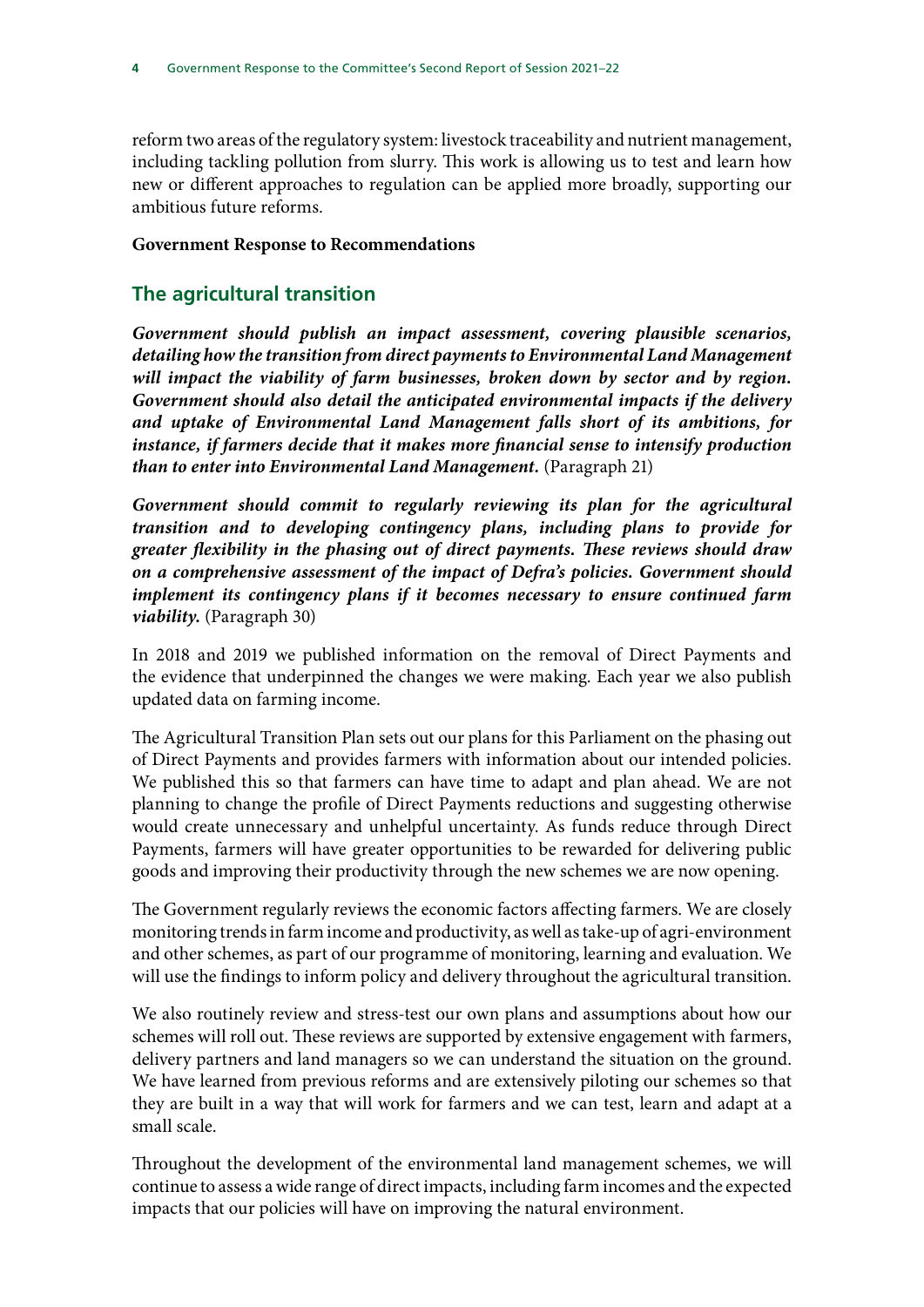reform two areas of the regulatory system: livestock traceability and nutrient management, including tackling pollution from slurry. This work is allowing us to test and learn how new or different approaches to regulation can be applied more broadly, supporting our ambitious future reforms.

#### **Government Response to Recommendations**

## **The agricultural transition**

*Government should publish an impact assessment, covering plausible scenarios, detailing how the transition from direct payments to Environmental Land Management*  will impact the viability of farm businesses, broken down by sector and by region. *Government should also detail the anticipated environmental impacts if the delivery and uptake of Environmental Land Management falls short of its ambitions, for instance, if farmers decide that it makes more financial sense to intensify production than to enter into Environmental Land Management.* (Paragraph 21)

Government should commit to regularly reviewing its plan for the agricultural *transition and to developing contingency plans, including plans to provide for greater flexibility in the phasing out of direct payments. These reviews should draw on a comprehensive assessment of the impact of Defra's policies. Government should implement its contingency plans if it becomes necessary to ensure continued farm viability.* (Paragraph 30)

In 2018 and 2019 we published information on the removal of Direct Payments and the evidence that underpinned the changes we were making. Each year we also publish updated data on farming income.

The Agricultural Transition Plan sets out our plans for this Parliament on the phasing out of Direct Payments and provides farmers with information about our intended policies. We published this so that farmers can have time to adapt and plan ahead. We are not planning to change the profile of Direct Payments reductions and suggesting otherwise would create unnecessary and unhelpful uncertainty. As funds reduce through Direct Payments, farmers will have greater opportunities to be rewarded for delivering public goods and improving their productivity through the new schemes we are now opening.

The Government regularly reviews the economic factors affecting farmers. We are closely monitoring trends in farm income and productivity, as well as take-up of agri-environment and other schemes, as part of our programme of monitoring, learning and evaluation. We will use the findings to inform policy and delivery throughout the agricultural transition.

We also routinely review and stress-test our own plans and assumptions about how our schemes will roll out. These reviews are supported by extensive engagement with farmers, delivery partners and land managers so we can understand the situation on the ground. We have learned from previous reforms and are extensively piloting our schemes so that they are built in a way that will work for farmers and we can test, learn and adapt at a small scale.

Throughout the development of the environmental land management schemes, we will continue to assess a wide range of direct impacts, including farm incomes and the expected impacts that our policies will have on improving the natural environment.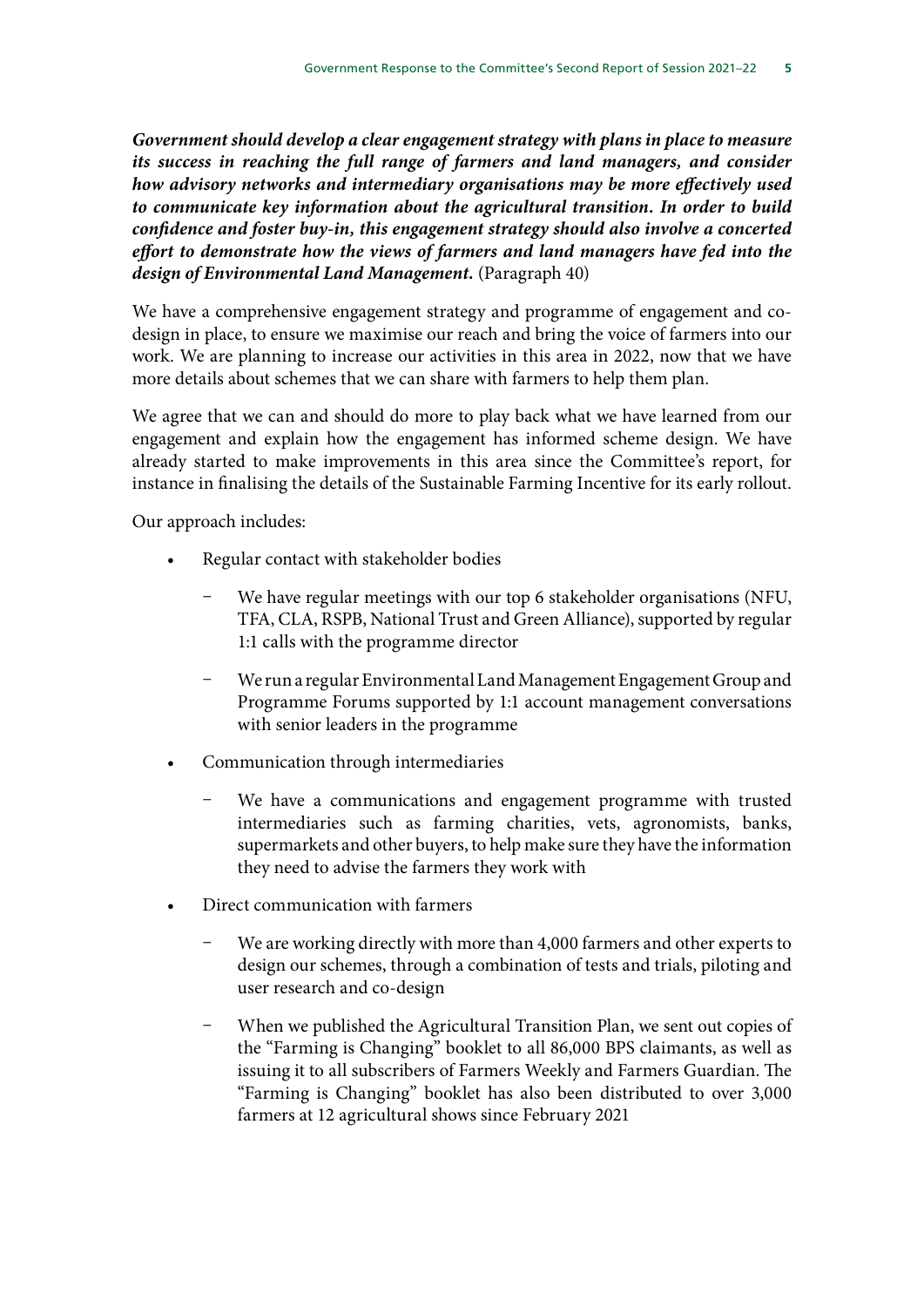*Government should develop a clear engagement strategy with plans in place to measure its success in reaching the full range of farmers and land managers, and consider how advisory networks and intermediary organisations may be more effectively used to communicate key information about the agricultural transition. In order to build confidence and foster buy-in, this engagement strategy should also involve a concerted effort to demonstrate how the views of farmers and land managers have fed into the design of Environmental Land Management.* (Paragraph 40)

We have a comprehensive engagement strategy and programme of engagement and codesign in place, to ensure we maximise our reach and bring the voice of farmers into our work. We are planning to increase our activities in this area in 2022, now that we have more details about schemes that we can share with farmers to help them plan.

We agree that we can and should do more to play back what we have learned from our engagement and explain how the engagement has informed scheme design. We have already started to make improvements in this area since the Committee's report, for instance in finalising the details of the Sustainable Farming Incentive for its early rollout.

Our approach includes:

- Regular contact with stakeholder bodies
	- We have regular meetings with our top 6 stakeholder organisations (NFU, TFA, CLA, RSPB, National Trust and Green Alliance), supported by regular 1:1 calls with the programme director
	- We run a regular Environmental Land Management Engagement Group and Programme Forums supported by 1:1 account management conversations with senior leaders in the programme
- Communication through intermediaries
	- We have a communications and engagement programme with trusted intermediaries such as farming charities, vets, agronomists, banks, supermarkets and other buyers, to help make sure they have the information they need to advise the farmers they work with
- Direct communication with farmers
	- We are working directly with more than 4,000 farmers and other experts to design our schemes, through a combination of tests and trials, piloting and user research and co-design
	- When we published the Agricultural Transition Plan, we sent out copies of the "Farming is Changing" booklet to all 86,000 BPS claimants, as well as issuing it to all subscribers of Farmers Weekly and Farmers Guardian. The "Farming is Changing" booklet has also been distributed to over 3,000 farmers at 12 agricultural shows since February 2021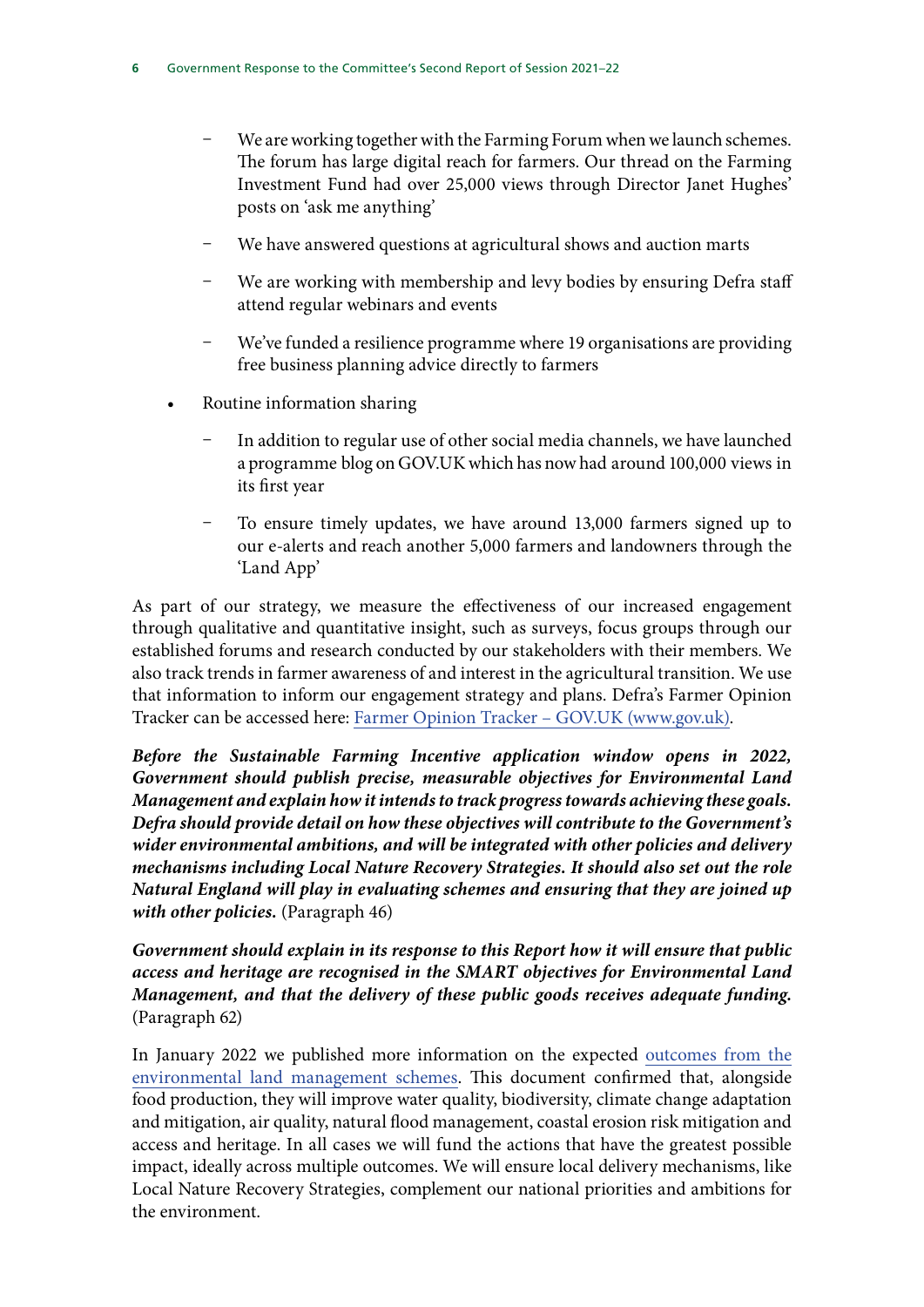- We are working together with the Farming Forum when we launch schemes. The forum has large digital reach for farmers. Our thread on the Farming Investment Fund had over 25,000 views through Director Janet Hughes' posts on 'ask me anything'
- We have answered questions at agricultural shows and auction marts
- We are working with membership and levy bodies by ensuring Defra staff attend regular webinars and events
- We've funded a resilience programme where 19 organisations are providing free business planning advice directly to farmers
- Routine information sharing
	- In addition to regular use of other social media channels, we have launched a programme blog on GOV.UK which has now had around 100,000 views in its first year
	- To ensure timely updates, we have around 13,000 farmers signed up to our e-alerts and reach another 5,000 farmers and landowners through the 'Land App'

As part of our strategy, we measure the effectiveness of our increased engagement through qualitative and quantitative insight, such as surveys, focus groups through our established forums and research conducted by our stakeholders with their members. We also track trends in farmer awareness of and interest in the agricultural transition. We use that information to inform our engagement strategy and plans. Defra's Farmer Opinion Tracker can be accessed here: [Farmer Opinion Tracker – GOV.UK \(www.gov.uk\)](https://www.gov.uk/government/collections/farmer-opinion-tracker).

*Before the Sustainable Farming Incentive application window opens in 2022, Government should publish precise, measurable objectives for Environmental Land Management and explain how it intends to track progress towards achieving these goals. Defra should provide detail on how these objectives will contribute to the Government's wider environmental ambitions, and will be integrated with other policies and delivery mechanisms including Local Nature Recovery Strategies. It should also set out the role Natural England will play in evaluating schemes and ensuring that they are joined up with other policies.* (Paragraph 46)

*Government should explain in its response to this Report how it will ensure that public access and heritage are recognised in the SMART objectives for Environmental Land Management, and that the delivery of these public goods receives adequate funding.*  (Paragraph 62)

In January 2022 we published more information on the expected [outcomes from the](https://www.gov.uk/government/publications/environmental-land-management-schemes-outcomes) [environmental land management schemes.](https://www.gov.uk/government/publications/environmental-land-management-schemes-outcomes) This document confirmed that, alongside food production, they will improve water quality, biodiversity, climate change adaptation and mitigation, air quality, natural flood management, coastal erosion risk mitigation and access and heritage. In all cases we will fund the actions that have the greatest possible impact, ideally across multiple outcomes. We will ensure local delivery mechanisms, like Local Nature Recovery Strategies, complement our national priorities and ambitions for the environment.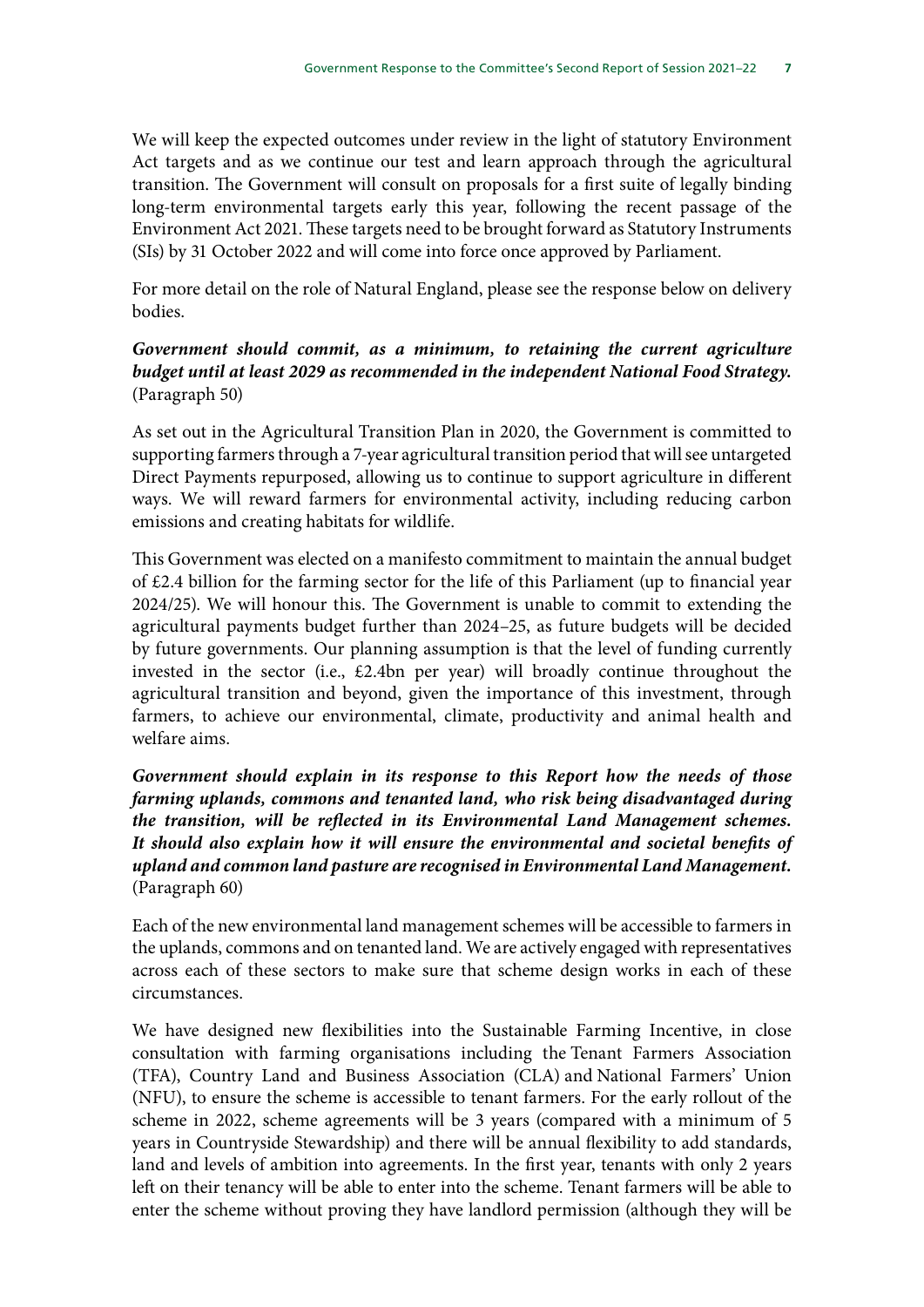We will keep the expected outcomes under review in the light of statutory Environment Act targets and as we continue our test and learn approach through the agricultural transition. The Government will consult on proposals for a first suite of legally binding long-term environmental targets early this year, following the recent passage of the Environment Act 2021. These targets need to be brought forward as Statutory Instruments (SIs) by 31 October 2022 and will come into force once approved by Parliament.

For more detail on the role of Natural England, please see the response below on delivery bodies.

#### *Government should commit, as a minimum, to retaining the current agriculture budget until at least 2029 as recommended in the independent National Food Strategy.* (Paragraph 50)

As set out in the Agricultural Transition Plan in 2020, the Government is committed to supporting farmers through a 7-year agricultural transition period that will see untargeted Direct Payments repurposed, allowing us to continue to support agriculture in different ways. We will reward farmers for environmental activity, including reducing carbon emissions and creating habitats for wildlife.

This Government was elected on a manifesto commitment to maintain the annual budget of £2.4 billion for the farming sector for the life of this Parliament (up to financial year 2024/25). We will honour this. The Government is unable to commit to extending the agricultural payments budget further than 2024–25, as future budgets will be decided by future governments. Our planning assumption is that the level of funding currently invested in the sector (i.e., £2.4bn per year) will broadly continue throughout the agricultural transition and beyond, given the importance of this investment, through farmers, to achieve our environmental, climate, productivity and animal health and welfare aims.

*Government should explain in its response to this Report how the needs of those farming uplands, commons and tenanted land, who risk being disadvantaged during the transition, will be reflected in its Environmental Land Management schemes. It should also explain how it will ensure the environmental and societal benefits of upland and common land pasture are recognised in Environmental Land Management.* (Paragraph 60)

Each of the new environmental land management schemes will be accessible to farmers in the uplands, commons and on tenanted land. We are actively engaged with representatives across each of these sectors to make sure that scheme design works in each of these circumstances.

We have designed new flexibilities into the Sustainable Farming Incentive, in close consultation with farming organisations including the Tenant Farmers Association (TFA), Country Land and Business Association (CLA) and National Farmers' Union (NFU), to ensure the scheme is accessible to tenant farmers. For the early rollout of the scheme in 2022, scheme agreements will be 3 years (compared with a minimum of 5 years in Countryside Stewardship) and there will be annual flexibility to add standards, land and levels of ambition into agreements. In the first year, tenants with only 2 years left on their tenancy will be able to enter into the scheme. Tenant farmers will be able to enter the scheme without proving they have landlord permission (although they will be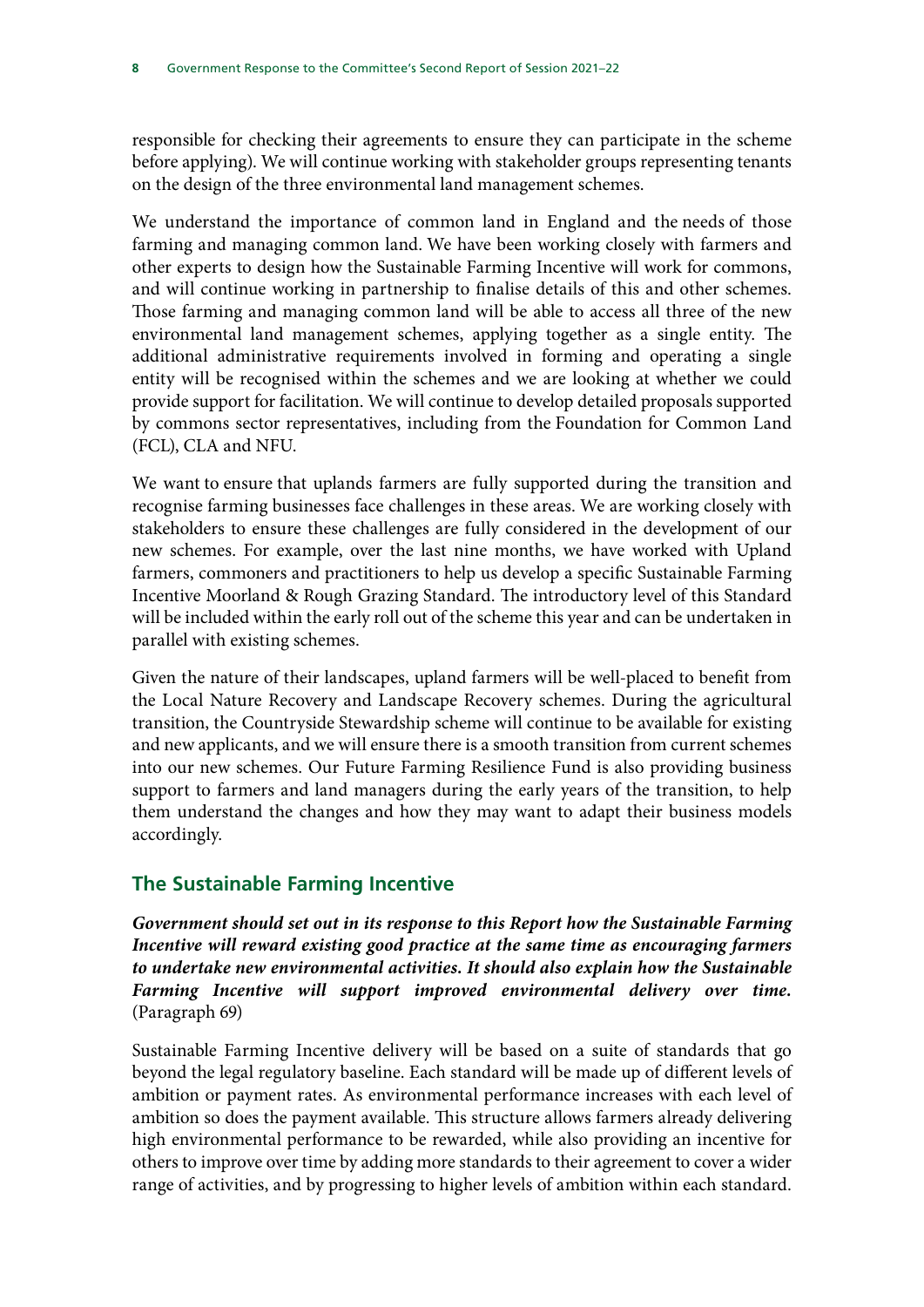responsible for checking their agreements to ensure they can participate in the scheme before applying). We will continue working with stakeholder groups representing tenants on the design of the three environmental land management schemes.

We understand the importance of common land in England and the needs of those farming and managing common land. We have been working closely with farmers and other experts to design how the Sustainable Farming Incentive will work for commons, and will continue working in partnership to finalise details of this and other schemes. Those farming and managing common land will be able to access all three of the new environmental land management schemes, applying together as a single entity. The additional administrative requirements involved in forming and operating a single entity will be recognised within the schemes and we are looking at whether we could provide support for facilitation. We will continue to develop detailed proposals supported by commons sector representatives, including from the Foundation for Common Land (FCL), CLA and NFU.

We want to ensure that uplands farmers are fully supported during the transition and recognise farming businesses face challenges in these areas. We are working closely with stakeholders to ensure these challenges are fully considered in the development of our new schemes. For example, over the last nine months, we have worked with Upland farmers, commoners and practitioners to help us develop a specific Sustainable Farming Incentive Moorland & Rough Grazing Standard. The introductory level of this Standard will be included within the early roll out of the scheme this year and can be undertaken in parallel with existing schemes.

Given the nature of their landscapes, upland farmers will be well-placed to benefit from the Local Nature Recovery and Landscape Recovery schemes. During the agricultural transition, the Countryside Stewardship scheme will continue to be available for existing and new applicants, and we will ensure there is a smooth transition from current schemes into our new schemes. Our Future Farming Resilience Fund is also providing business support to farmers and land managers during the early years of the transition, to help them understand the changes and how they may want to adapt their business models accordingly.

## **The Sustainable Farming Incentive**

*Government should set out in its response to this Report how the Sustainable Farming Incentive will reward existing good practice at the same time as encouraging farmers to undertake new environmental activities. It should also explain how the Sustainable Farming Incentive will support improved environmental delivery over time.* (Paragraph 69)

Sustainable Farming Incentive delivery will be based on a suite of standards that go beyond the legal regulatory baseline. Each standard will be made up of different levels of ambition or payment rates. As environmental performance increases with each level of ambition so does the payment available. This structure allows farmers already delivering high environmental performance to be rewarded, while also providing an incentive for others to improve over time by adding more standards to their agreement to cover a wider range of activities, and by progressing to higher levels of ambition within each standard.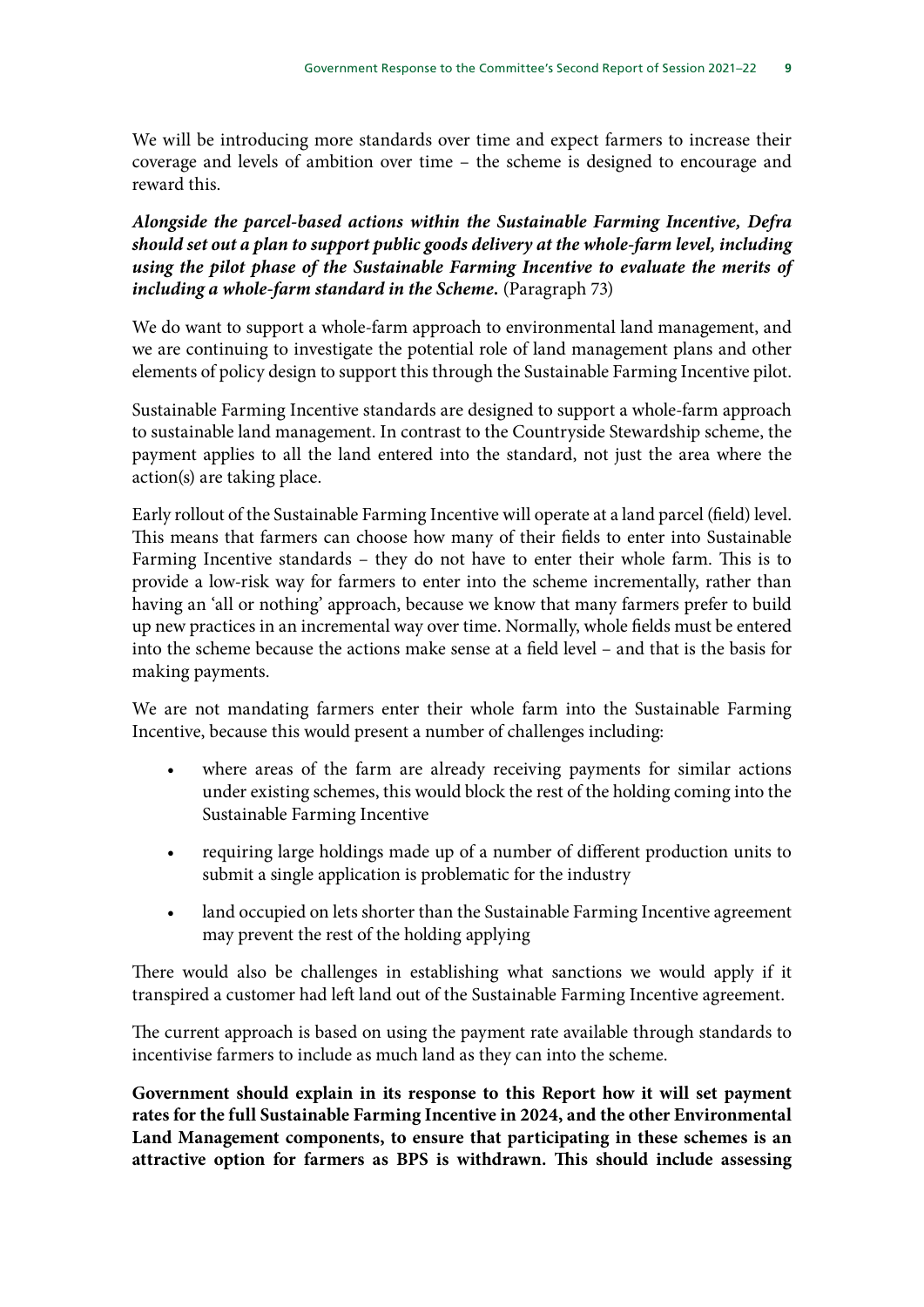We will be introducing more standards over time and expect farmers to increase their coverage and levels of ambition over time – the scheme is designed to encourage and reward this.

*Alongside the parcel-based actions within the Sustainable Farming Incentive, Defra should set out a plan to support public goods delivery at the whole-farm level, including using the pilot phase of the Sustainable Farming Incentive to evaluate the merits of including a whole-farm standard in the Scheme.* (Paragraph 73)

We do want to support a whole-farm approach to environmental land management, and we are continuing to investigate the potential role of land management plans and other elements of policy design to support this through the Sustainable Farming Incentive pilot.

Sustainable Farming Incentive standards are designed to support a whole-farm approach to sustainable land management. In contrast to the Countryside Stewardship scheme, the payment applies to all the land entered into the standard, not just the area where the action(s) are taking place.

Early rollout of the Sustainable Farming Incentive will operate at a land parcel (field) level. This means that farmers can choose how many of their fields to enter into Sustainable Farming Incentive standards – they do not have to enter their whole farm. This is to provide a low-risk way for farmers to enter into the scheme incrementally, rather than having an 'all or nothing' approach, because we know that many farmers prefer to build up new practices in an incremental way over time. Normally, whole fields must be entered into the scheme because the actions make sense at a field level – and that is the basis for making payments.

We are not mandating farmers enter their whole farm into the Sustainable Farming Incentive, because this would present a number of challenges including:

- where areas of the farm are already receiving payments for similar actions under existing schemes, this would block the rest of the holding coming into the Sustainable Farming Incentive
- requiring large holdings made up of a number of different production units to submit a single application is problematic for the industry
- land occupied on lets shorter than the Sustainable Farming Incentive agreement may prevent the rest of the holding applying

There would also be challenges in establishing what sanctions we would apply if it transpired a customer had left land out of the Sustainable Farming Incentive agreement.

The current approach is based on using the payment rate available through standards to incentivise farmers to include as much land as they can into the scheme.

**Government should explain in its response to this Report how it will set payment rates for the full Sustainable Farming Incentive in 2024, and the other Environmental Land Management components, to ensure that participating in these schemes is an attractive option for farmers as BPS is withdrawn. This should include assessing**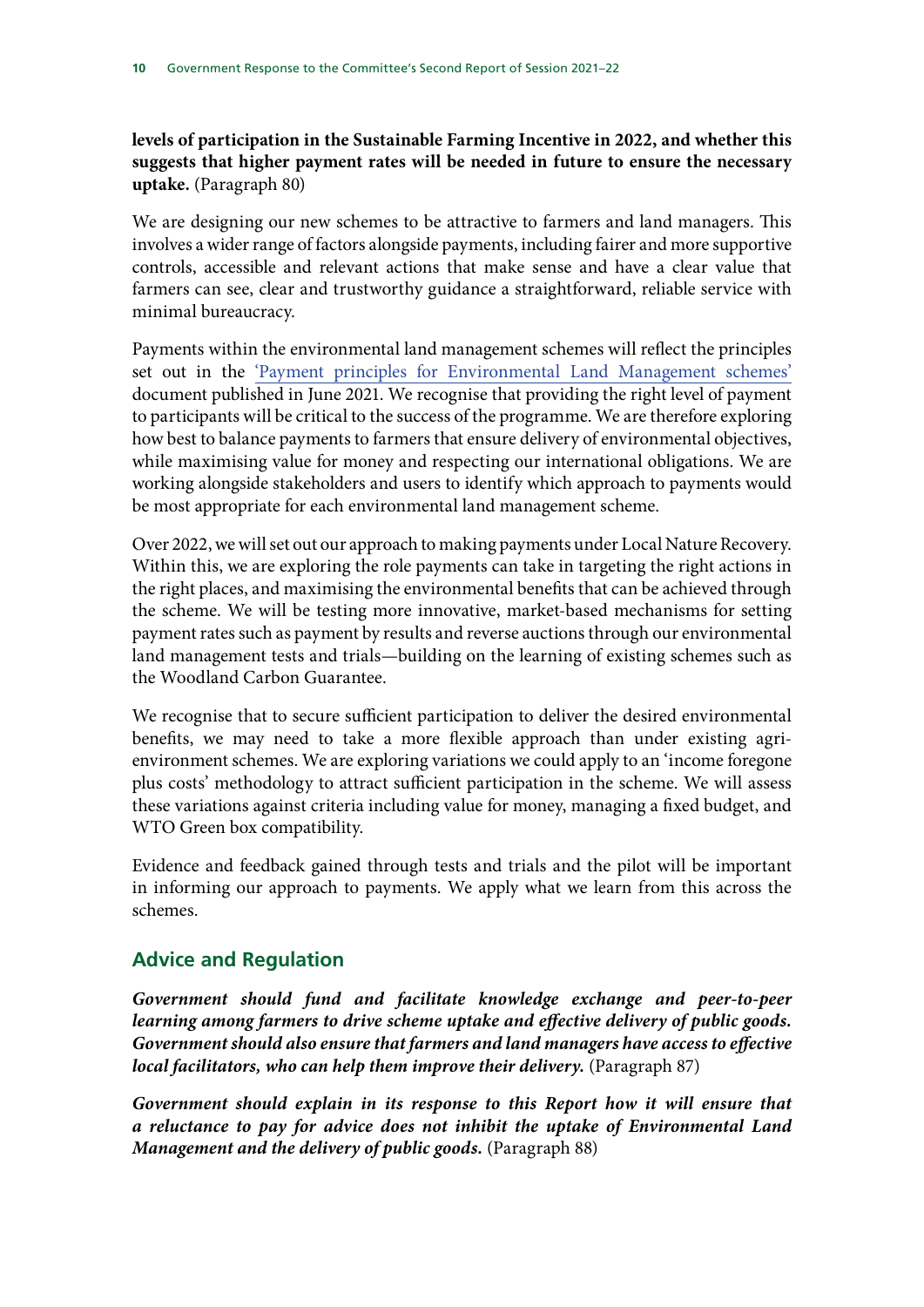#### **levels of participation in the Sustainable Farming Incentive in 2022, and whether this suggests that higher payment rates will be needed in future to ensure the necessary uptake.** (Paragraph 80)

We are designing our new schemes to be attractive to farmers and land managers. This involves a wider range of factors alongside payments, including fairer and more supportive controls, accessible and relevant actions that make sense and have a clear value that farmers can see, clear and trustworthy guidance a straightforward, reliable service with minimal bureaucracy.

Payments within the environmental land management schemes will reflect the principles set out in the ['Payment principles for Environmental Land Management schemes'](https://www.gov.uk/government/publications/environmental-land-management-schemes-payment-principles) document published in June 2021. We recognise that providing the right level of payment to participants will be critical to the success of the programme. We are therefore exploring how best to balance payments to farmers that ensure delivery of environmental objectives, while maximising value for money and respecting our international obligations. We are working alongside stakeholders and users to identify which approach to payments would be most appropriate for each environmental land management scheme.

Over 2022, we will set out our approach to making payments under Local Nature Recovery. Within this, we are exploring the role payments can take in targeting the right actions in the right places, and maximising the environmental benefits that can be achieved through the scheme. We will be testing more innovative, market-based mechanisms for setting payment rates such as payment by results and reverse auctions through our environmental land management tests and trials—building on the learning of existing schemes such as the Woodland Carbon Guarantee.

We recognise that to secure sufficient participation to deliver the desired environmental benefits, we may need to take a more flexible approach than under existing agrienvironment schemes. We are exploring variations we could apply to an 'income foregone plus costs' methodology to attract sufficient participation in the scheme. We will assess these variations against criteria including value for money, managing a fixed budget, and WTO Green box compatibility.

Evidence and feedback gained through tests and trials and the pilot will be important in informing our approach to payments. We apply what we learn from this across the schemes.

## **Advice and Regulation**

*Government should fund and facilitate knowledge exchange and peer-to-peer learning among farmers to drive scheme uptake and effective delivery of public goods. Government should also ensure that farmers and land managers have access to effective local facilitators, who can help them improve their delivery.* (Paragraph 87)

*Government should explain in its response to this Report how it will ensure that a reluctance to pay for advice does not inhibit the uptake of Environmental Land Management and the delivery of public goods.* (Paragraph 88)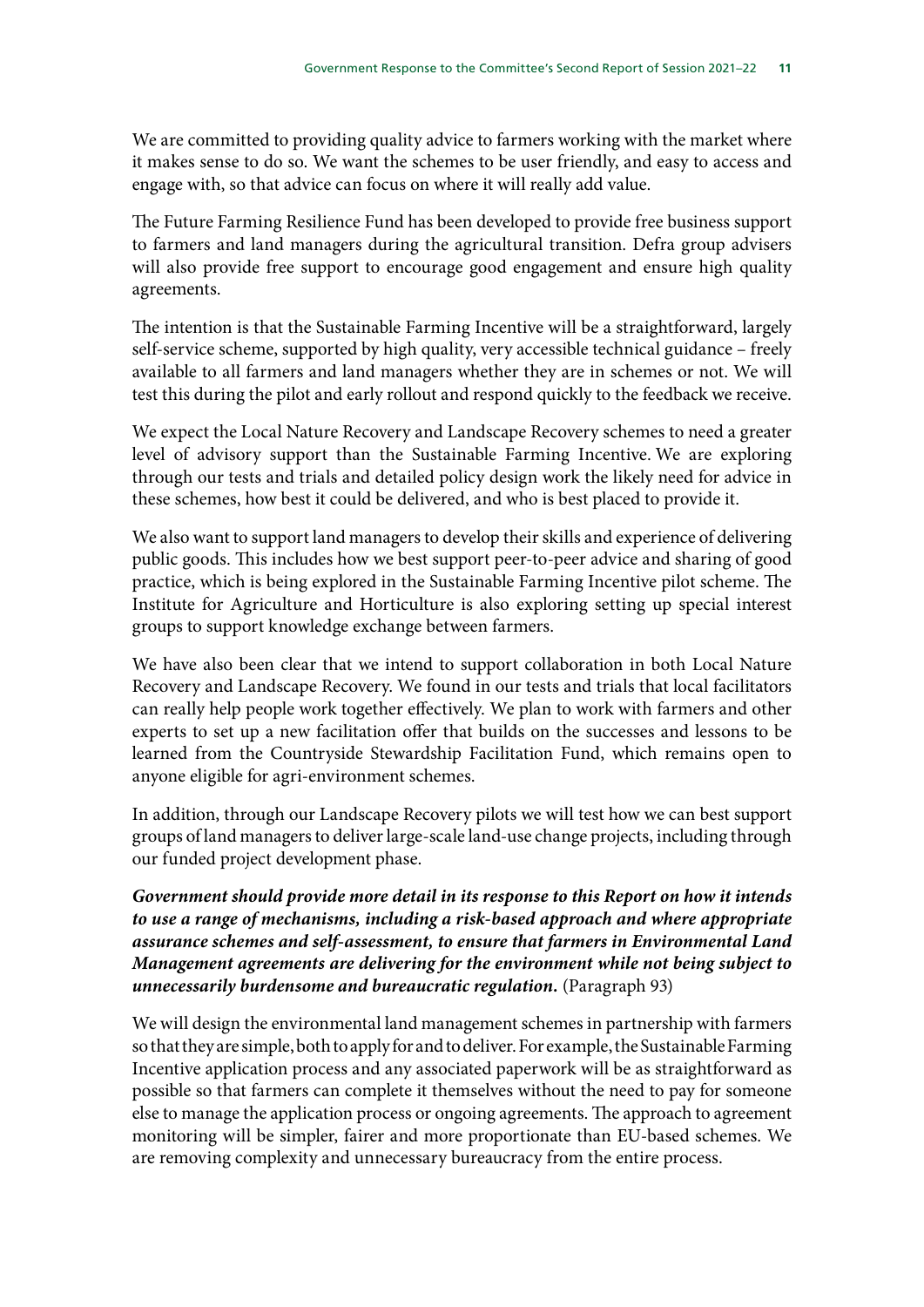We are committed to providing quality advice to farmers working with the market where it makes sense to do so. We want the schemes to be user friendly, and easy to access and engage with, so that advice can focus on where it will really add value.

The Future Farming Resilience Fund has been developed to provide free business support to farmers and land managers during the agricultural transition. Defra group advisers will also provide free support to encourage good engagement and ensure high quality agreements.

The intention is that the Sustainable Farming Incentive will be a straightforward, largely self-service scheme, supported by high quality, very accessible technical guidance – freely available to all farmers and land managers whether they are in schemes or not. We will test this during the pilot and early rollout and respond quickly to the feedback we receive.

We expect the Local Nature Recovery and Landscape Recovery schemes to need a greater level of advisory support than the Sustainable Farming Incentive. We are exploring through our tests and trials and detailed policy design work the likely need for advice in these schemes, how best it could be delivered, and who is best placed to provide it.

We also want to support land managers to develop their skills and experience of delivering public goods. This includes how we best support peer-to-peer advice and sharing of good practice, which is being explored in the Sustainable Farming Incentive pilot scheme. The Institute for Agriculture and Horticulture is also exploring setting up special interest groups to support knowledge exchange between farmers.

We have also been clear that we intend to support collaboration in both Local Nature Recovery and Landscape Recovery. We found in our tests and trials that local facilitators can really help people work together effectively. We plan to work with farmers and other experts to set up a new facilitation offer that builds on the successes and lessons to be learned from the Countryside Stewardship Facilitation Fund, which remains open to anyone eligible for agri-environment schemes.

In addition, through our Landscape Recovery pilots we will test how we can best support groups of land managers to deliver large-scale land-use change projects, including through our funded project development phase.

*Government should provide more detail in its response to this Report on how it intends to use a range of mechanisms, including a risk-based approach and where appropriate assurance schemes and self-assessment, to ensure that farmers in Environmental Land Management agreements are delivering for the environment while not being subject to unnecessarily burdensome and bureaucratic regulation.* (Paragraph 93)

We will design the environmental land management schemes in partnership with farmers so that they are simple, both to apply for and to deliver. For example, the Sustainable Farming Incentive application process and any associated paperwork will be as straightforward as possible so that farmers can complete it themselves without the need to pay for someone else to manage the application process or ongoing agreements. The approach to agreement monitoring will be simpler, fairer and more proportionate than EU-based schemes. We are removing complexity and unnecessary bureaucracy from the entire process.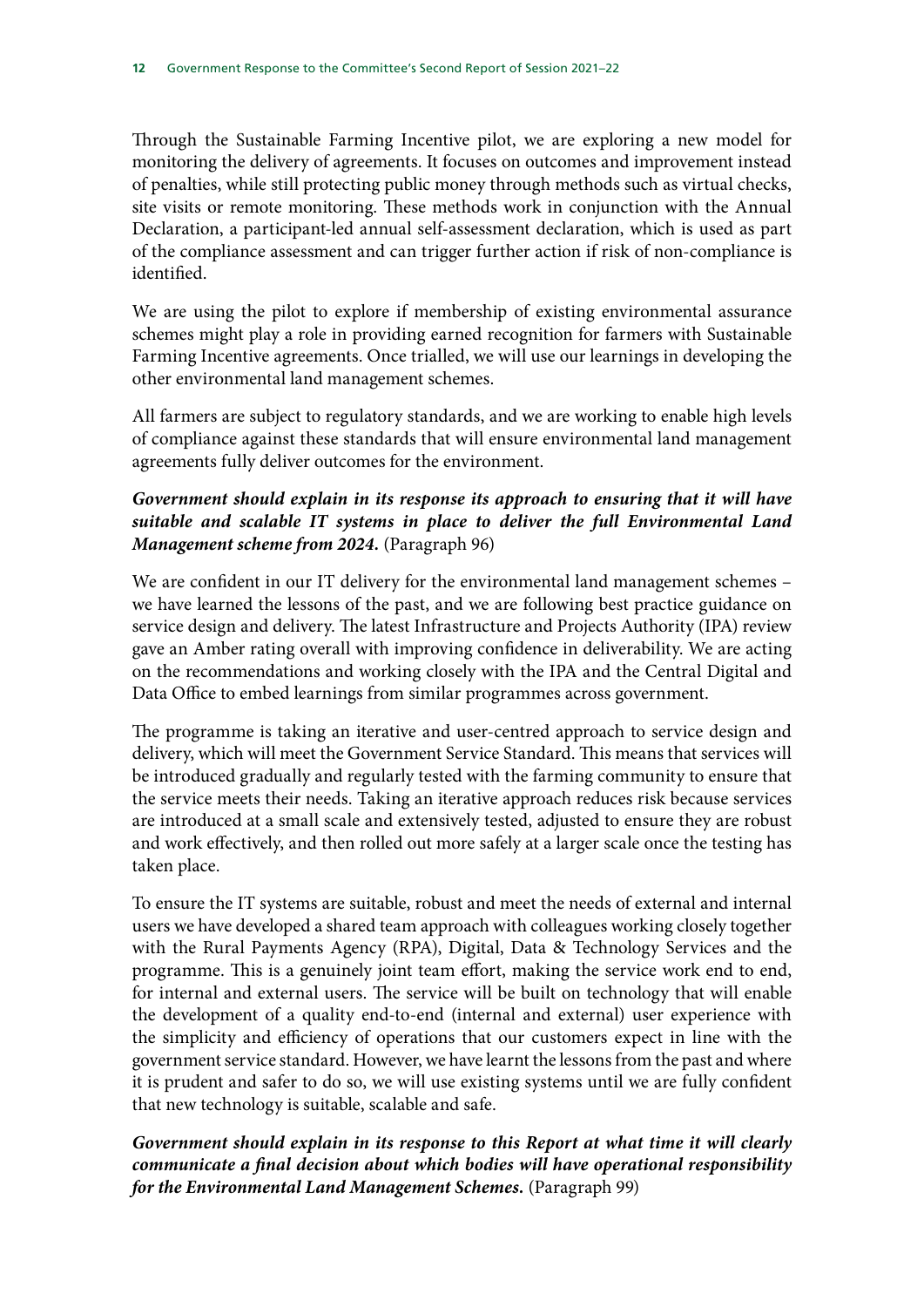Through the Sustainable Farming Incentive pilot, we are exploring a new model for monitoring the delivery of agreements. It focuses on outcomes and improvement instead of penalties, while still protecting public money through methods such as virtual checks, site visits or remote monitoring. These methods work in conjunction with the Annual Declaration, a participant-led annual self-assessment declaration, which is used as part of the compliance assessment and can trigger further action if risk of non-compliance is identified.

We are using the pilot to explore if membership of existing environmental assurance schemes might play a role in providing earned recognition for farmers with Sustainable Farming Incentive agreements. Once trialled, we will use our learnings in developing the other environmental land management schemes.

All farmers are subject to regulatory standards, and we are working to enable high levels of compliance against these standards that will ensure environmental land management agreements fully deliver outcomes for the environment.

### *Government should explain in its response its approach to ensuring that it will have suitable and scalable IT systems in place to deliver the full Environmental Land Management scheme from 2024.* (Paragraph 96)

We are confident in our IT delivery for the environmental land management schemes – we have learned the lessons of the past, and we are following best practice guidance on service design and delivery. The latest Infrastructure and Projects Authority (IPA) review gave an Amber rating overall with improving confidence in deliverability. We are acting on the recommendations and working closely with the IPA and the Central Digital and Data Office to embed learnings from similar programmes across government.

The programme is taking an iterative and user-centred approach to service design and delivery, which will meet the Government Service Standard. This means that services will be introduced gradually and regularly tested with the farming community to ensure that the service meets their needs. Taking an iterative approach reduces risk because services are introduced at a small scale and extensively tested, adjusted to ensure they are robust and work effectively, and then rolled out more safely at a larger scale once the testing has taken place.

To ensure the IT systems are suitable, robust and meet the needs of external and internal users we have developed a shared team approach with colleagues working closely together with the Rural Payments Agency (RPA), Digital, Data & Technology Services and the programme. This is a genuinely joint team effort, making the service work end to end, for internal and external users. The service will be built on technology that will enable the development of a quality end-to-end (internal and external) user experience with the simplicity and efficiency of operations that our customers expect in line with the government service standard. However, we have learnt the lessons from the past and where it is prudent and safer to do so, we will use existing systems until we are fully confident that new technology is suitable, scalable and safe.

## *Government should explain in its response to this Report at what time it will clearly communicate a final decision about which bodies will have operational responsibility for the Environmental Land Management Schemes.* (Paragraph 99)